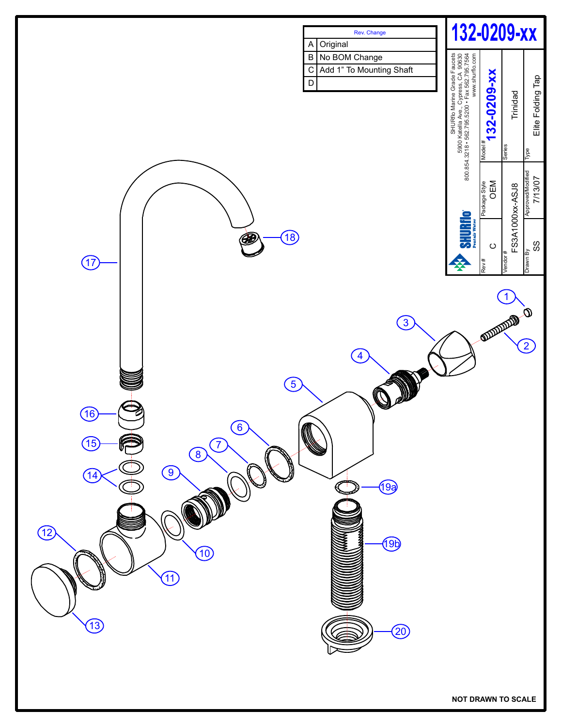